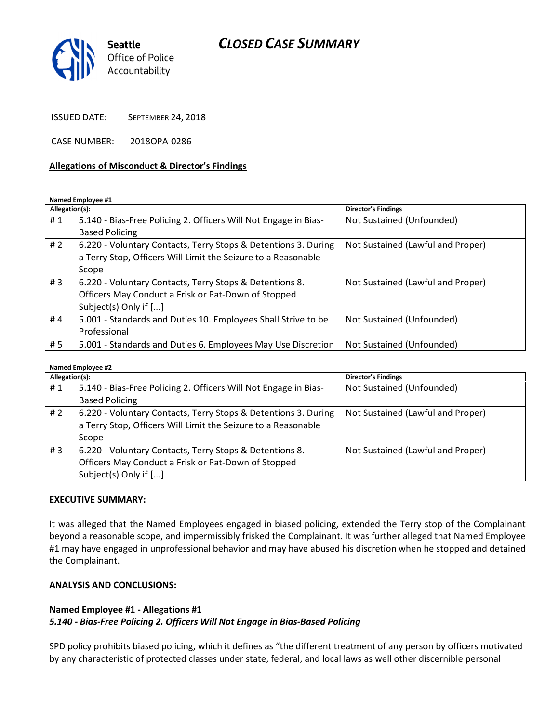## CLOSED CASE SUMMARY



ISSUED DATE: SEPTEMBER 24, 2018

CASE NUMBER: 2018OPA-0286

#### Allegations of Misconduct & Director's Findings

Named Employee #1

| Allegation(s): |                                                                 | <b>Director's Findings</b>        |
|----------------|-----------------------------------------------------------------|-----------------------------------|
| #1             | 5.140 - Bias-Free Policing 2. Officers Will Not Engage in Bias- | Not Sustained (Unfounded)         |
|                | <b>Based Policing</b>                                           |                                   |
| #2             | 6.220 - Voluntary Contacts, Terry Stops & Detentions 3. During  | Not Sustained (Lawful and Proper) |
|                | a Terry Stop, Officers Will Limit the Seizure to a Reasonable   |                                   |
|                | Scope                                                           |                                   |
| #3             | 6.220 - Voluntary Contacts, Terry Stops & Detentions 8.         | Not Sustained (Lawful and Proper) |
|                | Officers May Conduct a Frisk or Pat-Down of Stopped             |                                   |
|                | Subject(s) Only if []                                           |                                   |
| #4             | 5.001 - Standards and Duties 10. Employees Shall Strive to be   | Not Sustained (Unfounded)         |
|                | Professional                                                    |                                   |
| #5             | 5.001 - Standards and Duties 6. Employees May Use Discretion    | Not Sustained (Unfounded)         |

#### Named Employee #2

| Allegation(s): |                                                                                                                                          | <b>Director's Findings</b>        |
|----------------|------------------------------------------------------------------------------------------------------------------------------------------|-----------------------------------|
| #1             | 5.140 - Bias-Free Policing 2. Officers Will Not Engage in Bias-                                                                          | Not Sustained (Unfounded)         |
|                | <b>Based Policing</b>                                                                                                                    |                                   |
| # 2            | 6.220 - Voluntary Contacts, Terry Stops & Detentions 3. During<br>a Terry Stop, Officers Will Limit the Seizure to a Reasonable<br>Scope | Not Sustained (Lawful and Proper) |
| # $3$          | 6.220 - Voluntary Contacts, Terry Stops & Detentions 8.                                                                                  | Not Sustained (Lawful and Proper) |
|                | Officers May Conduct a Frisk or Pat-Down of Stopped                                                                                      |                                   |
|                | Subject(s) Only if []                                                                                                                    |                                   |

#### EXECUTIVE SUMMARY:

It was alleged that the Named Employees engaged in biased policing, extended the Terry stop of the Complainant beyond a reasonable scope, and impermissibly frisked the Complainant. It was further alleged that Named Employee #1 may have engaged in unprofessional behavior and may have abused his discretion when he stopped and detained the Complainant.

#### ANALYSIS AND CONCLUSIONS:

#### Named Employee #1 - Allegations #1 5.140 - Bias-Free Policing 2. Officers Will Not Engage in Bias-Based Policing

SPD policy prohibits biased policing, which it defines as "the different treatment of any person by officers motivated by any characteristic of protected classes under state, federal, and local laws as well other discernible personal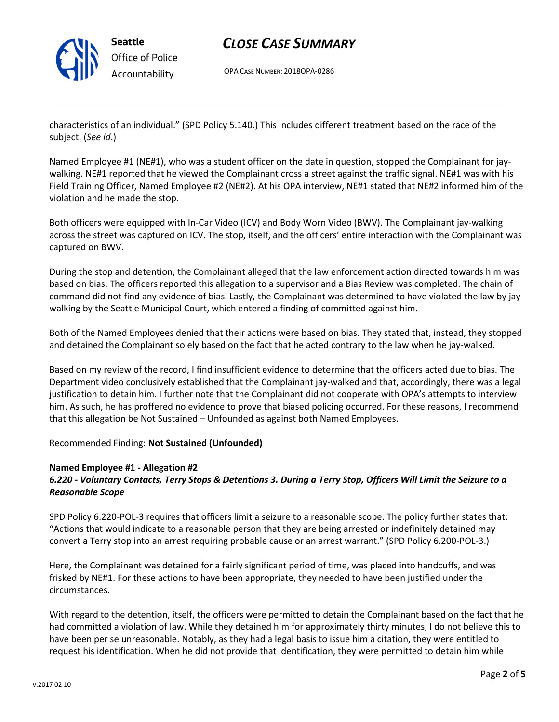

Seattle Office of Police Accountability

## CLOSE CASE SUMMARY

OPA CASE NUMBER: 2018OPA-0286

characteristics of an individual." (SPD Policy 5.140.) This includes different treatment based on the race of the subject. (See id.)

Named Employee #1 (NE#1), who was a student officer on the date in question, stopped the Complainant for jaywalking. NE#1 reported that he viewed the Complainant cross a street against the traffic signal. NE#1 was with his Field Training Officer, Named Employee #2 (NE#2). At his OPA interview, NE#1 stated that NE#2 informed him of the violation and he made the stop.

Both officers were equipped with In-Car Video (ICV) and Body Worn Video (BWV). The Complainant jay-walking across the street was captured on ICV. The stop, itself, and the officers' entire interaction with the Complainant was captured on BWV.

During the stop and detention, the Complainant alleged that the law enforcement action directed towards him was based on bias. The officers reported this allegation to a supervisor and a Bias Review was completed. The chain of command did not find any evidence of bias. Lastly, the Complainant was determined to have violated the law by jaywalking by the Seattle Municipal Court, which entered a finding of committed against him.

Both of the Named Employees denied that their actions were based on bias. They stated that, instead, they stopped and detained the Complainant solely based on the fact that he acted contrary to the law when he jay-walked.

Based on my review of the record, I find insufficient evidence to determine that the officers acted due to bias. The Department video conclusively established that the Complainant jay-walked and that, accordingly, there was a legal justification to detain him. I further note that the Complainant did not cooperate with OPA's attempts to interview him. As such, he has proffered no evidence to prove that biased policing occurred. For these reasons, I recommend that this allegation be Not Sustained – Unfounded as against both Named Employees.

Recommended Finding: Not Sustained (Unfounded)

### Named Employee #1 - Allegation #2

### 6.220 - Voluntary Contacts, Terry Stops & Detentions 3. During a Terry Stop, Officers Will Limit the Seizure to a Reasonable Scope

SPD Policy 6.220-POL-3 requires that officers limit a seizure to a reasonable scope. The policy further states that: "Actions that would indicate to a reasonable person that they are being arrested or indefinitely detained may convert a Terry stop into an arrest requiring probable cause or an arrest warrant." (SPD Policy 6.200-POL-3.)

Here, the Complainant was detained for a fairly significant period of time, was placed into handcuffs, and was frisked by NE#1. For these actions to have been appropriate, they needed to have been justified under the circumstances.

With regard to the detention, itself, the officers were permitted to detain the Complainant based on the fact that he had committed a violation of law. While they detained him for approximately thirty minutes, I do not believe this to have been per se unreasonable. Notably, as they had a legal basis to issue him a citation, they were entitled to request his identification. When he did not provide that identification, they were permitted to detain him while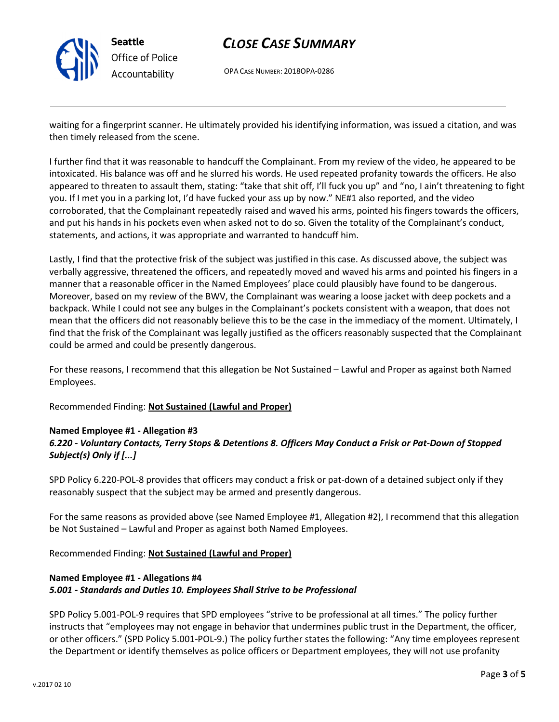

Seattle Office of Police Accountability

# CLOSE CASE SUMMARY

OPA CASE NUMBER: 2018OPA-0286

waiting for a fingerprint scanner. He ultimately provided his identifying information, was issued a citation, and was then timely released from the scene.

I further find that it was reasonable to handcuff the Complainant. From my review of the video, he appeared to be intoxicated. His balance was off and he slurred his words. He used repeated profanity towards the officers. He also appeared to threaten to assault them, stating: "take that shit off, I'll fuck you up" and "no, I ain't threatening to fight you. If I met you in a parking lot, I'd have fucked your ass up by now." NE#1 also reported, and the video corroborated, that the Complainant repeatedly raised and waved his arms, pointed his fingers towards the officers, and put his hands in his pockets even when asked not to do so. Given the totality of the Complainant's conduct, statements, and actions, it was appropriate and warranted to handcuff him.

Lastly, I find that the protective frisk of the subject was justified in this case. As discussed above, the subject was verbally aggressive, threatened the officers, and repeatedly moved and waved his arms and pointed his fingers in a manner that a reasonable officer in the Named Employees' place could plausibly have found to be dangerous. Moreover, based on my review of the BWV, the Complainant was wearing a loose jacket with deep pockets and a backpack. While I could not see any bulges in the Complainant's pockets consistent with a weapon, that does not mean that the officers did not reasonably believe this to be the case in the immediacy of the moment. Ultimately, I find that the frisk of the Complainant was legally justified as the officers reasonably suspected that the Complainant could be armed and could be presently dangerous.

For these reasons, I recommend that this allegation be Not Sustained – Lawful and Proper as against both Named Employees.

Recommended Finding: Not Sustained (Lawful and Proper)

### Named Employee #1 - Allegation #3

### 6.220 - Voluntary Contacts, Terry Stops & Detentions 8. Officers May Conduct a Frisk or Pat-Down of Stopped Subject(s) Only if [...]

SPD Policy 6.220-POL-8 provides that officers may conduct a frisk or pat-down of a detained subject only if they reasonably suspect that the subject may be armed and presently dangerous.

For the same reasons as provided above (see Named Employee #1, Allegation #2), I recommend that this allegation be Not Sustained – Lawful and Proper as against both Named Employees.

Recommended Finding: Not Sustained (Lawful and Proper)

#### Named Employee #1 - Allegations #4 5.001 - Standards and Duties 10. Employees Shall Strive to be Professional

SPD Policy 5.001-POL-9 requires that SPD employees "strive to be professional at all times." The policy further instructs that "employees may not engage in behavior that undermines public trust in the Department, the officer, or other officers." (SPD Policy 5.001-POL-9.) The policy further states the following: "Any time employees represent the Department or identify themselves as police officers or Department employees, they will not use profanity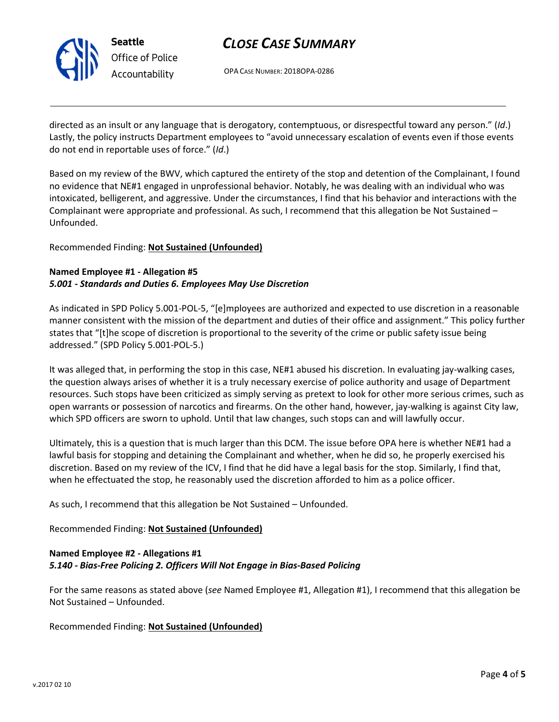

## CLOSE CASE SUMMARY

OPA CASE NUMBER: 2018OPA-0286

directed as an insult or any language that is derogatory, contemptuous, or disrespectful toward any person." (Id.) Lastly, the policy instructs Department employees to "avoid unnecessary escalation of events even if those events do not end in reportable uses of force." (Id.)

Based on my review of the BWV, which captured the entirety of the stop and detention of the Complainant, I found no evidence that NE#1 engaged in unprofessional behavior. Notably, he was dealing with an individual who was intoxicated, belligerent, and aggressive. Under the circumstances, I find that his behavior and interactions with the Complainant were appropriate and professional. As such, I recommend that this allegation be Not Sustained – Unfounded.

#### Recommended Finding: Not Sustained (Unfounded)

### Named Employee #1 - Allegation #5 5.001 - Standards and Duties 6. Employees May Use Discretion

As indicated in SPD Policy 5.001-POL-5, "[e]mployees are authorized and expected to use discretion in a reasonable manner consistent with the mission of the department and duties of their office and assignment." This policy further states that "[t]he scope of discretion is proportional to the severity of the crime or public safety issue being addressed." (SPD Policy 5.001-POL-5.)

It was alleged that, in performing the stop in this case, NE#1 abused his discretion. In evaluating jay-walking cases, the question always arises of whether it is a truly necessary exercise of police authority and usage of Department resources. Such stops have been criticized as simply serving as pretext to look for other more serious crimes, such as open warrants or possession of narcotics and firearms. On the other hand, however, jay-walking is against City law, which SPD officers are sworn to uphold. Until that law changes, such stops can and will lawfully occur.

Ultimately, this is a question that is much larger than this DCM. The issue before OPA here is whether NE#1 had a lawful basis for stopping and detaining the Complainant and whether, when he did so, he properly exercised his discretion. Based on my review of the ICV, I find that he did have a legal basis for the stop. Similarly, I find that, when he effectuated the stop, he reasonably used the discretion afforded to him as a police officer.

As such, I recommend that this allegation be Not Sustained – Unfounded.

### Recommended Finding: Not Sustained (Unfounded)

### Named Employee #2 - Allegations #1 5.140 - Bias-Free Policing 2. Officers Will Not Engage in Bias-Based Policing

For the same reasons as stated above (see Named Employee #1, Allegation #1), I recommend that this allegation be Not Sustained – Unfounded.

Recommended Finding: Not Sustained (Unfounded)